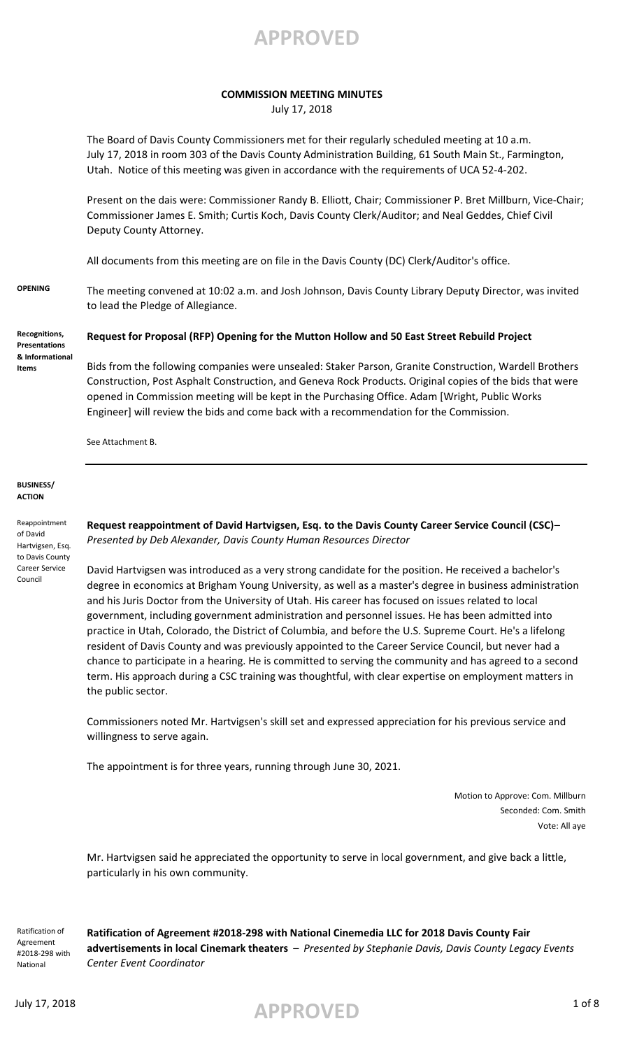

### **COMMISSION MEETING MINUTES**

July 17, 2018

The Board of Davis County Commissioners met for their regularly scheduled meeting at 10 a.m. July 17, 2018 in room 303 of the Davis County Administration Building, 61 South Main St., Farmington, Utah. Notice of this meeting was given in accordance with the requirements of UCA 52-4-202.

Present on the dais were: Commissioner Randy B. Elliott, Chair; Commissioner P. Bret Millburn, Vice-Chair; Commissioner James E. Smith; Curtis Koch, Davis County Clerk/Auditor; and Neal Geddes, Chief Civil Deputy County Attorney.

All documents from this meeting are on file in the Davis County (DC) Clerk/Auditor's office.

**OPENING** The meeting convened at 10:02 a.m. and Josh Johnson, Davis County Library Deputy Director, was invited to lead the Pledge of Allegiance.

**Recognitions, Presentations & Informational Items**

# **Request for Proposal (RFP) Opening for the Mutton Hollow and 50 East Street Rebuild Project**

Bids from the following companies were unsealed: Staker Parson, Granite Construction, Wardell Brothers Construction, Post Asphalt Construction, and Geneva Rock Products. Original copies of the bids that were opened in Commission meeting will be kept in the Purchasing Office. Adam [Wright, Public Works Engineer] will review the bids and come back with a recommendation for the Commission.

See Attachment B.

**BUSINESS/ ACTION**

Reappointment of David Hartvigsen, Esq. to Davis County Career Service Council

**Request reappointment of David Hartvigsen, Esq. to the Davis County Career Service Council (CSC)**– *Presented by Deb Alexander, Davis County Human Resources Director*

David Hartvigsen was introduced as a very strong candidate for the position. He received a bachelor's degree in economics at Brigham Young University, as well as a master's degree in business administration and his Juris Doctor from the University of Utah. His career has focused on issues related to local government, including government administration and personnel issues. He has been admitted into practice in Utah, Colorado, the District of Columbia, and before the U.S. Supreme Court. He's a lifelong resident of Davis County and was previously appointed to the Career Service Council, but never had a chance to participate in a hearing. He is committed to serving the community and has agreed to a second term. His approach during a CSC training was thoughtful, with clear expertise on employment matters in the public sector.

Commissioners noted Mr. Hartvigsen's skill set and expressed appreciation for his previous service and willingness to serve again.

The appointment is for three years, running through June 30, 2021.

Motion to Approve: Com. Millburn Seconded: Com. Smith Vote: All aye

Mr. Hartvigsen said he appreciated the opportunity to serve in local government, and give back a little, particularly in his own community.

Ratification of Agreement #2018-298 with National

**Ratification of Agreement #2018-298 with National Cinemedia LLC for 2018 Davis County Fair advertisements in local Cinemark theaters** – *Presented by Stephanie Davis, Davis County Legacy Events Center Event Coordinator*

advertising 17, 2018 **APPROVED** 1 of 8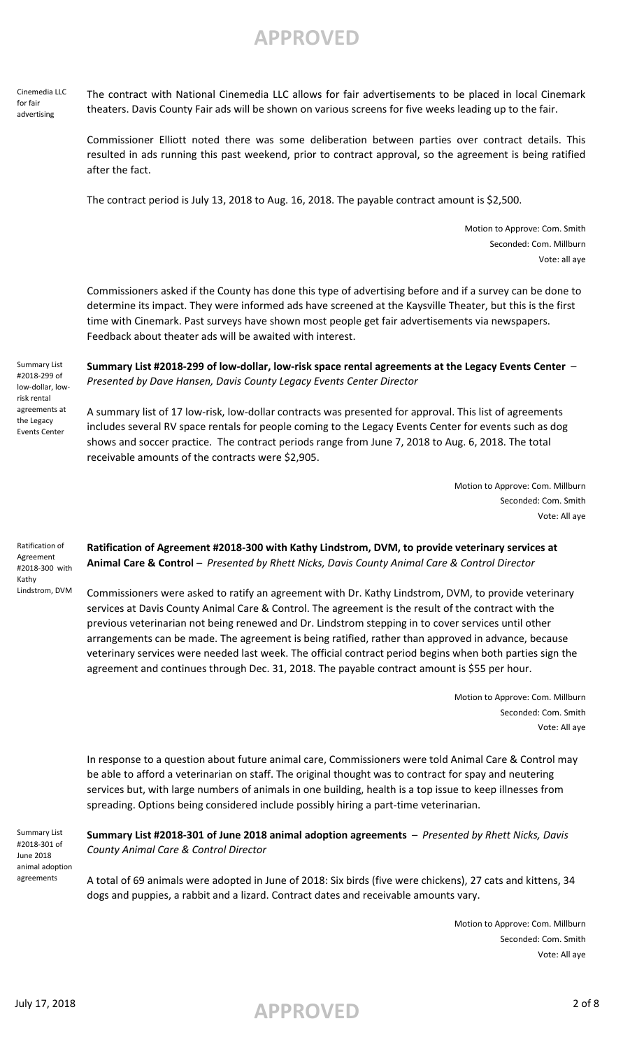Cinemedia LLC for fair advertising

The contract with National Cinemedia LLC allows for fair advertisements to be placed in local Cinemark theaters. Davis County Fair ads will be shown on various screens for five weeks leading up to the fair.

Commissioner Elliott noted there was some deliberation between parties over contract details. This resulted in ads running this past weekend, prior to contract approval, so the agreement is being ratified after the fact.

The contract period is July 13, 2018 to Aug. 16, 2018. The payable contract amount is \$2,500.

Motion to Approve: Com. Smith Seconded: Com. Millburn Vote: all aye

Commissioners asked if the County has done this type of advertising before and if a survey can be done to determine its impact. They were informed ads have screened at the Kaysville Theater, but this is the first time with Cinemark. Past surveys have shown most people get fair advertisements via newspapers. Feedback about theater ads will be awaited with interest.

Summary List #2018-299 of low-dollar, lowrisk rental agreements at the Legacy Events Center

**Summary List #2018-299 of low-dollar, low-risk space rental agreements at the Legacy Events Center** – *Presented by Dave Hansen, Davis County Legacy Events Center Director*

A summary list of 17 low-risk, low-dollar contracts was presented for approval. This list of agreements includes several RV space rentals for people coming to the Legacy Events Center for events such as dog shows and soccer practice. The contract periods range from June 7, 2018 to Aug. 6, 2018. The total receivable amounts of the contracts were \$2,905.

> Motion to Approve: Com. Millburn Seconded: Com. Smith Vote: All aye

Ratification of Agreement #2018-300 with Kathy Lindstrom, DVM

**Ratification of Agreement #2018-300 with Kathy Lindstrom, DVM, to provide veterinary services at Animal Care & Control** – *Presented by Rhett Nicks, Davis County Animal Care & Control Director*

Commissioners were asked to ratify an agreement with Dr. Kathy Lindstrom, DVM, to provide veterinary services at Davis County Animal Care & Control. The agreement is the result of the contract with the previous veterinarian not being renewed and Dr. Lindstrom stepping in to cover services until other arrangements can be made. The agreement is being ratified, rather than approved in advance, because veterinary services were needed last week. The official contract period begins when both parties sign the agreement and continues through Dec. 31, 2018. The payable contract amount is \$55 per hour.

> Motion to Approve: Com. Millburn Seconded: Com. Smith Vote: All aye

In response to a question about future animal care, Commissioners were told Animal Care & Control may be able to afford a veterinarian on staff. The original thought was to contract for spay and neutering services but, with large numbers of animals in one building, health is a top issue to keep illnesses from spreading. Options being considered include possibly hiring a part-time veterinarian.

Summary List #2018-301 of June 2018 animal adoption agreements

### **Summary List #2018-301 of June 2018 animal adoption agreements** – *Presented by Rhett Nicks, Davis County Animal Care & Control Director*

A total of 69 animals were adopted in June of 2018: Six birds (five were chickens), 27 cats and kittens, 34 dogs and puppies, a rabbit and a lizard. Contract dates and receivable amounts vary.

> Motion to Approve: Com. Millburn Seconded: Com. Smith Vote: All aye

# July 17, 2018 **APPROVED** 2 of 8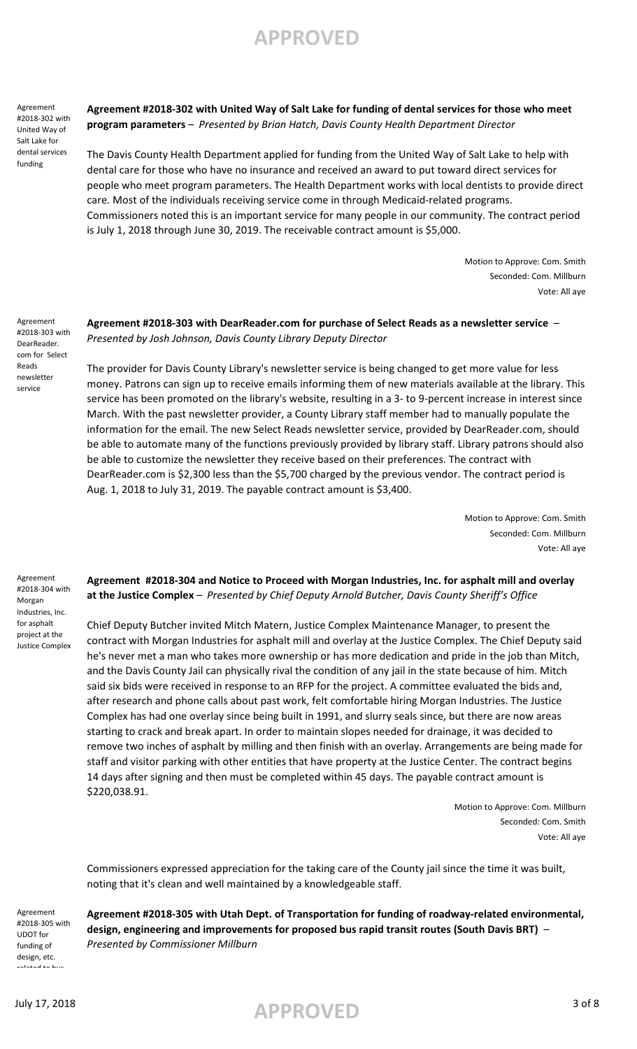Agreement #2018-302 with United Way of Salt Lake for dental services funding

**Agreement #2018-302 with United Way of Salt Lake for funding of dental services for those who meet program parameters** – *Presented by Brian Hatch, Davis County Health Department Director*

The Davis County Health Department applied for funding from the United Way of Salt Lake to help with dental care for those who have no insurance and received an award to put toward direct services for people who meet program parameters. The Health Department works with local dentists to provide direct care. Most of the individuals receiving service come in through Medicaid-related programs. Commissioners noted this is an important service for many people in our community. The contract period is July 1, 2018 through June 30, 2019. The receivable contract amount is \$5,000.

> Motion to Approve: Com. Smith Seconded: Com. Millburn Vote: All aye

Agreement #2018-303 with DearReader. com for Select Reads newsletter service

**Agreement #2018-303 with DearReader.com for purchase of Select Reads as a newsletter service** – *Presented by Josh Johnson, Davis County Library Deputy Director*

The provider for Davis County Library's newsletter service is being changed to get more value for less money. Patrons can sign up to receive emails informing them of new materials available at the library. This service has been promoted on the library's website, resulting in a 3- to 9-percent increase in interest since March. With the past newsletter provider, a County Library staff member had to manually populate the information for the email. The new Select Reads newsletter service, provided by DearReader.com, should be able to automate many of the functions previously provided by library staff. Library patrons should also be able to customize the newsletter they receive based on their preferences. The contract with DearReader.com is \$2,300 less than the \$5,700 charged by the previous vendor. The contract period is Aug. 1, 2018 to July 31, 2019. The payable contract amount is \$3,400.

> Motion to Approve: Com. Smith Seconded: Com. Millburn Vote: All aye

Agreement #2018-304 with Morgan Industries, Inc. for asphalt project at the Justice Complex

### **Agreement #2018-304 and Notice to Proceed with Morgan Industries, Inc. for asphalt mill and overlay at the Justice Complex** – *Presented by Chief Deputy Arnold Butcher, Davis County Sheriff's Office*

Chief Deputy Butcher invited Mitch Matern, Justice Complex Maintenance Manager, to present the contract with Morgan Industries for asphalt mill and overlay at the Justice Complex. The Chief Deputy said he's never met a man who takes more ownership or has more dedication and pride in the job than Mitch, and the Davis County Jail can physically rival the condition of any jail in the state because of him. Mitch said six bids were received in response to an RFP for the project. A committee evaluated the bids and, after research and phone calls about past work, felt comfortable hiring Morgan Industries. The Justice Complex has had one overlay since being built in 1991, and slurry seals since, but there are now areas starting to crack and break apart. In order to maintain slopes needed for drainage, it was decided to remove two inches of asphalt by milling and then finish with an overlay. Arrangements are being made for staff and visitor parking with other entities that have property at the Justice Center. The contract begins 14 days after signing and then must be completed within 45 days. The payable contract amount is \$220,038.91.

> Motion to Approve: Com. Millburn Seconded: Com. Smith Vote: All aye

Commissioners expressed appreciation for the taking care of the County jail since the time it was built, noting that it's clean and well maintained by a knowledgeable staff.

Agreement #2018-305 with UDOT for funding of design, etc. related to bus

**Agreement #2018-305 with Utah Dept. of Transportation for funding of roadway-related environmental, design, engineering and improvements for proposed bus rapid transit routes (South Davis BRT)** – *Presented by Commissioner Millburn*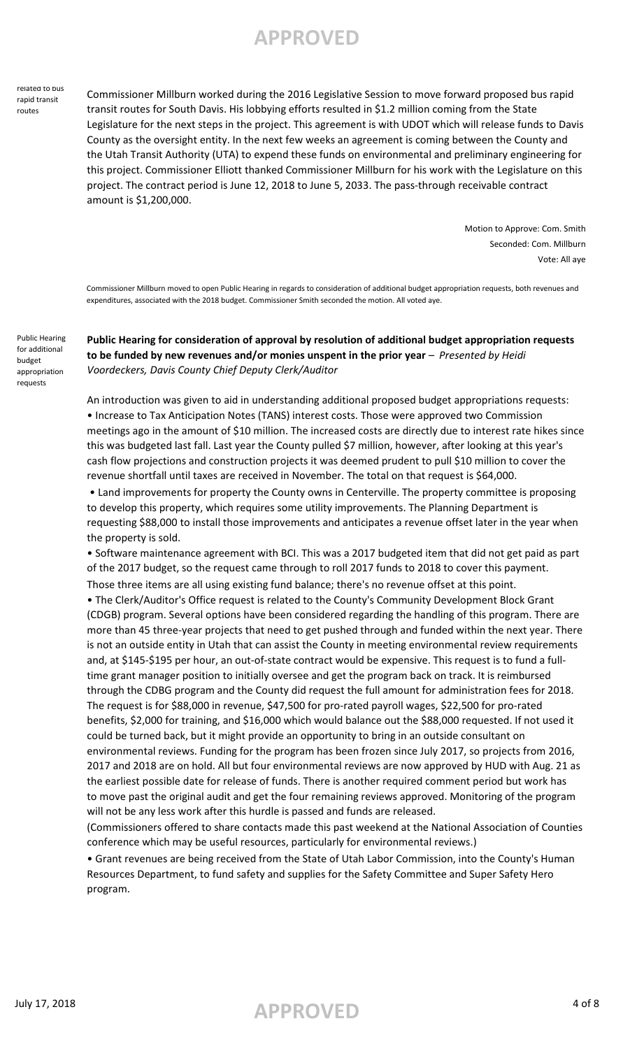#### related to bus rapid transit routes

Commissioner Millburn worked during the 2016 Legislative Session to move forward proposed bus rapid transit routes for South Davis. His lobbying efforts resulted in \$1.2 million coming from the State Legislature for the next steps in the project. This agreement is with UDOT which will release funds to Davis County as the oversight entity. In the next few weeks an agreement is coming between the County and the Utah Transit Authority (UTA) to expend these funds on environmental and preliminary engineering for this project. Commissioner Elliott thanked Commissioner Millburn for his work with the Legislature on this project. The contract period is June 12, 2018 to June 5, 2033. The pass-through receivable contract amount is \$1,200,000.

> Motion to Approve: Com. Smith Seconded: Com. Millburn Vote: All aye

Commissioner Millburn moved to open Public Hearing in regards to consideration of additional budget appropriation requests, both revenues and expenditures, associated with the 2018 budget. Commissioner Smith seconded the motion. All voted aye.

**Public Hearing for consideration of approval by resolution of additional budget appropriation requests**  to be funded by new revenues and/or monies unspent in the prior year - *Presented by Heidi Voordeckers, Davis County Chief Deputy Clerk/Auditor*

An introduction was given to aid in understanding additional proposed budget appropriations requests: • Increase to Tax Anticipation Notes (TANS) interest costs. Those were approved two Commission meetings ago in the amount of \$10 million. The increased costs are directly due to interest rate hikes since this was budgeted last fall. Last year the County pulled \$7 million, however, after looking at this year's cash flow projections and construction projects it was deemed prudent to pull \$10 million to cover the revenue shortfall until taxes are received in November. The total on that request is \$64,000.

 • Land improvements for property the County owns in Centerville. The property committee is proposing to develop this property, which requires some utility improvements. The Planning Department is requesting \$88,000 to install those improvements and anticipates a revenue offset later in the year when the property is sold.

• Software maintenance agreement with BCI. This was a 2017 budgeted item that did not get paid as part of the 2017 budget, so the request came through to roll 2017 funds to 2018 to cover this payment. Those three items are all using existing fund balance; there's no revenue offset at this point.

to move past the original audit and get the four remaining reviews approved. Monitoring of the program will not be any less work after this hurdle is passed and funds are released. • The Clerk/Auditor's Office request is related to the County's Community Development Block Grant (CDGB) program. Several options have been considered regarding the handling of this program. There are more than 45 three-year projects that need to get pushed through and funded within the next year. There is not an outside entity in Utah that can assist the County in meeting environmental review requirements and, at \$145-\$195 per hour, an out-of-state contract would be expensive. This request is to fund a fulltime grant manager position to initially oversee and get the program back on track. It is reimbursed through the CDBG program and the County did request the full amount for administration fees for 2018. The request is for \$88,000 in revenue, \$47,500 for pro-rated payroll wages, \$22,500 for pro-rated benefits, \$2,000 for training, and \$16,000 which would balance out the \$88,000 requested. If not used it could be turned back, but it might provide an opportunity to bring in an outside consultant on environmental reviews. Funding for the program has been frozen since July 2017, so projects from 2016, 2017 and 2018 are on hold. All but four environmental reviews are now approved by HUD with Aug. 21 as the earliest possible date for release of funds. There is another required comment period but work has

(Commissioners offered to share contacts made this past weekend at the National Association of Counties conference which may be useful resources, particularly for environmental reviews.)

• Grant revenues are being received from the State of Utah Labor Commission, into the County's Human Resources Department, to fund safety and supplies for the Safety Committee and Super Safety Hero program.

Public Hearing for additional budget appropriation requests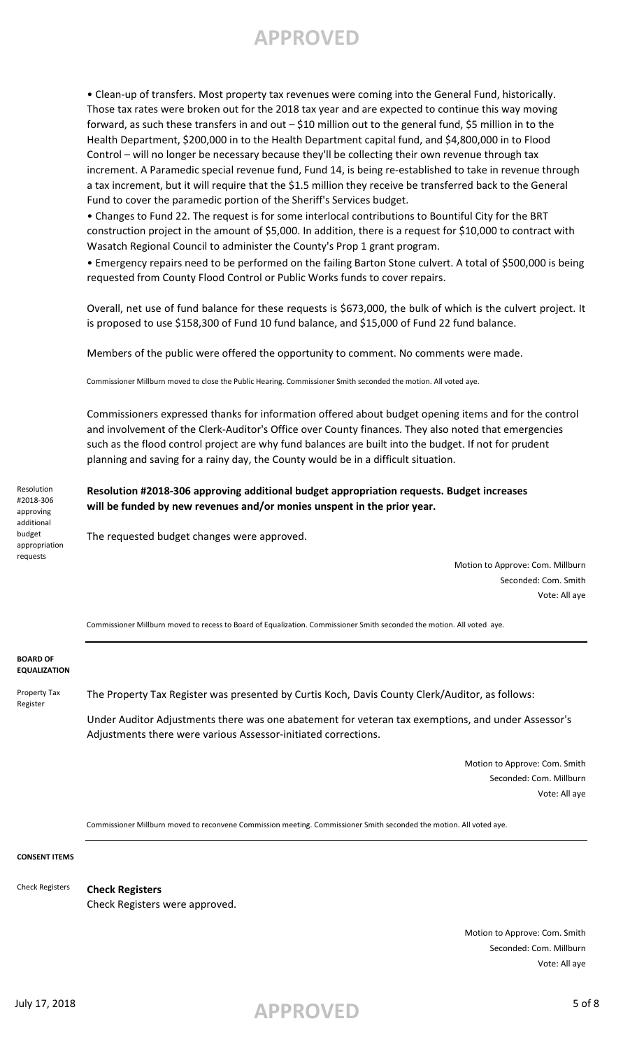• Clean-up of transfers. Most property tax revenues were coming into the General Fund, historically. Those tax rates were broken out for the 2018 tax year and are expected to continue this way moving forward, as such these transfers in and out – \$10 million out to the general fund, \$5 million in to the Health Department, \$200,000 in to the Health Department capital fund, and \$4,800,000 in to Flood Control – will no longer be necessary because they'll be collecting their own revenue through tax increment. A Paramedic special revenue fund, Fund 14, is being re-established to take in revenue through a tax increment, but it will require that the \$1.5 million they receive be transferred back to the General Fund to cover the paramedic portion of the Sheriff's Services budget.

• Changes to Fund 22. The request is for some interlocal contributions to Bountiful City for the BRT construction project in the amount of \$5,000. In addition, there is a request for \$10,000 to contract with Wasatch Regional Council to administer the County's Prop 1 grant program.

• Emergency repairs need to be performed on the failing Barton Stone culvert. A total of \$500,000 is being requested from County Flood Control or Public Works funds to cover repairs.

Overall, net use of fund balance for these requests is \$673,000, the bulk of which is the culvert project. It is proposed to use \$158,300 of Fund 10 fund balance, and \$15,000 of Fund 22 fund balance.

Members of the public were offered the opportunity to comment. No comments were made.

Commissioner Millburn moved to close the Public Hearing. Commissioner Smith seconded the motion. All voted aye.

Commissioners expressed thanks for information offered about budget opening items and for the control and involvement of the Clerk-Auditor's Office over County finances. They also noted that emergencies such as the flood control project are why fund balances are built into the budget. If not for prudent planning and saving for a rainy day, the County would be in a difficult situation.

**Resolution #2018-306 approving additional budget appropriation requests. Budget increases will be funded by new revenues and/or monies unspent in the prior year.**

The requested budget changes were approved.

Motion to Approve: Com. Millburn Seconded: Com. Smith Vote: All aye

Commissioner Millburn moved to recess to Board of Equalization. Commissioner Smith seconded the motion. All voted aye.

#### **BOARD OF EQUALIZATION**

Resolution #2018-306 approving additional budget appropriation requests

Property Tax Register

The Property Tax Register was presented by Curtis Koch, Davis County Clerk/Auditor, as follows:

Under Auditor Adjustments there was one abatement for veteran tax exemptions, and under Assessor's Adjustments there were various Assessor-initiated corrections.

> Motion to Approve: Com. Smith Seconded: Com. Millburn Vote: All aye

Commissioner Millburn moved to reconvene Commission meeting. Commissioner Smith seconded the motion. All voted aye.

#### **CONSENT ITEMS**

**Check Registers** Check Registers were approved. Check Registers

> Motion to Approve: Com. Smith Seconded: Com. Millburn Vote: All aye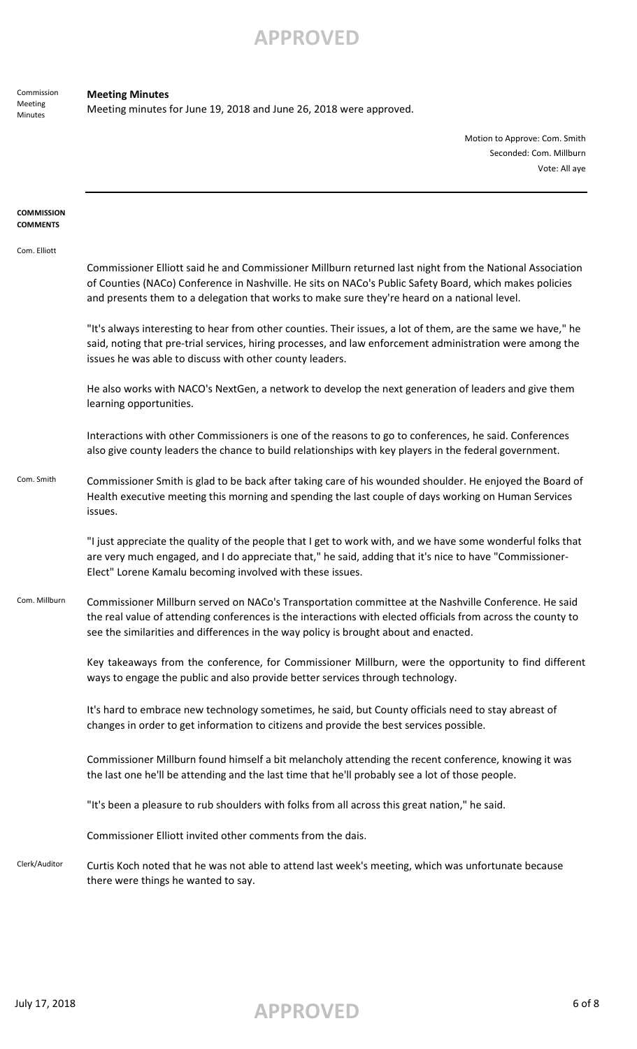Commission Meeting Minutes

### **Meeting Minutes**

Meeting minutes for June 19, 2018 and June 26, 2018 were approved.

Motion to Approve: Com. Smith Seconded: Com. Millburn Vote: All aye

| <b>COMMISSION</b><br><b>COMMENTS</b> |                                                                                                                                                                                                                                                                                                                     |
|--------------------------------------|---------------------------------------------------------------------------------------------------------------------------------------------------------------------------------------------------------------------------------------------------------------------------------------------------------------------|
| Com. Elliott                         | Commissioner Elliott said he and Commissioner Millburn returned last night from the National Association<br>of Counties (NACo) Conference in Nashville. He sits on NACo's Public Safety Board, which makes policies<br>and presents them to a delegation that works to make sure they're heard on a national level. |
|                                      | "It's always interesting to hear from other counties. Their issues, a lot of them, are the same we have," he<br>said, noting that pre-trial services, hiring processes, and law enforcement administration were among the<br>issues he was able to discuss with other county leaders.                               |
|                                      | He also works with NACO's NextGen, a network to develop the next generation of leaders and give them<br>learning opportunities.                                                                                                                                                                                     |
|                                      | Interactions with other Commissioners is one of the reasons to go to conferences, he said. Conferences<br>also give county leaders the chance to build relationships with key players in the federal government.                                                                                                    |
| Com. Smith                           | Commissioner Smith is glad to be back after taking care of his wounded shoulder. He enjoyed the Board of<br>Health executive meeting this morning and spending the last couple of days working on Human Services<br>issues.                                                                                         |
|                                      | "I just appreciate the quality of the people that I get to work with, and we have some wonderful folks that<br>are very much engaged, and I do appreciate that," he said, adding that it's nice to have "Commissioner-<br>Elect" Lorene Kamalu becoming involved with these issues.                                 |
| Com. Millburn                        | Commissioner Millburn served on NACo's Transportation committee at the Nashville Conference. He said<br>the real value of attending conferences is the interactions with elected officials from across the county to<br>see the similarities and differences in the way policy is brought about and enacted.        |
|                                      | Key takeaways from the conference, for Commissioner Millburn, were the opportunity to find different<br>ways to engage the public and also provide better services through technology.                                                                                                                              |
|                                      | It's hard to embrace new technology sometimes, he said, but County officials need to stay abreast of<br>changes in order to get information to citizens and provide the best services possible.                                                                                                                     |
|                                      | Commissioner Millburn found himself a bit melancholy attending the recent conference, knowing it was<br>the last one he'll be attending and the last time that he'll probably see a lot of those people.                                                                                                            |
|                                      | "It's been a pleasure to rub shoulders with folks from all across this great nation," he said.                                                                                                                                                                                                                      |
|                                      | Commissioner Elliott invited other comments from the dais.                                                                                                                                                                                                                                                          |
| Clerk/Auditor                        | Curtis Koch noted that he was not able to attend last week's meeting, which was unfortunate because<br>there were things he wanted to say.                                                                                                                                                                          |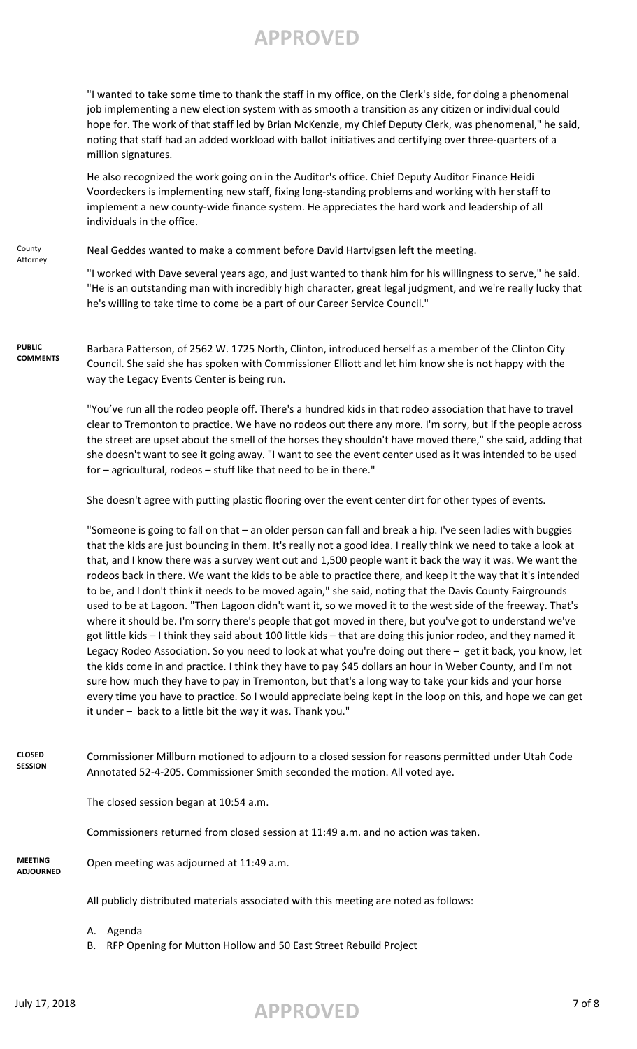"I wanted to take some time to thank the staff in my office, on the Clerk's side, for doing a phenomenal job implementing a new election system with as smooth a transition as any citizen or individual could hope for. The work of that staff led by Brian McKenzie, my Chief Deputy Clerk, was phenomenal," he said, noting that staff had an added workload with ballot initiatives and certifying over three-quarters of a million signatures.

He also recognized the work going on in the Auditor's office. Chief Deputy Auditor Finance Heidi Voordeckers is implementing new staff, fixing long-standing problems and working with her staff to implement a new county-wide finance system. He appreciates the hard work and leadership of all individuals in the office.

County Attorney Neal Geddes wanted to make a comment before David Hartvigsen left the meeting.

> "I worked with Dave several years ago, and just wanted to thank him for his willingness to serve," he said. "He is an outstanding man with incredibly high character, great legal judgment, and we're really lucky that he's willing to take time to come be a part of our Career Service Council."

**PUBLIC COMMENTS** Barbara Patterson, of 2562 W. 1725 North, Clinton, introduced herself as a member of the Clinton City Council. She said she has spoken with Commissioner Elliott and let him know she is not happy with the way the Legacy Events Center is being run.

> "You've run all the rodeo people off. There's a hundred kids in that rodeo association that have to travel clear to Tremonton to practice. We have no rodeos out there any more. I'm sorry, but if the people across the street are upset about the smell of the horses they shouldn't have moved there," she said, adding that she doesn't want to see it going away. "I want to see the event center used as it was intended to be used for – agricultural, rodeos – stuff like that need to be in there."

She doesn't agree with putting plastic flooring over the event center dirt for other types of events.

"Someone is going to fall on that – an older person can fall and break a hip. I've seen ladies with buggies that the kids are just bouncing in them. It's really not a good idea. I really think we need to take a look at that, and I know there was a survey went out and 1,500 people want it back the way it was. We want the rodeos back in there. We want the kids to be able to practice there, and keep it the way that it's intended to be, and I don't think it needs to be moved again," she said, noting that the Davis County Fairgrounds used to be at Lagoon. "Then Lagoon didn't want it, so we moved it to the west side of the freeway. That's where it should be. I'm sorry there's people that got moved in there, but you've got to understand we've got little kids – I think they said about 100 little kids – that are doing this junior rodeo, and they named it Legacy Rodeo Association. So you need to look at what you're doing out there – get it back, you know, let the kids come in and practice. I think they have to pay \$45 dollars an hour in Weber County, and I'm not sure how much they have to pay in Tremonton, but that's a long way to take your kids and your horse every time you have to practice. So I would appreciate being kept in the loop on this, and hope we can get it under – back to a little bit the way it was. Thank you."

**CLOSED SESSION** Commissioner Millburn motioned to adjourn to a closed session for reasons permitted under Utah Code Annotated 52-4-205. Commissioner Smith seconded the motion. All voted aye.

The closed session began at 10:54 a.m.

Commissioners returned from closed session at 11:49 a.m. and no action was taken.

**MEETING ADJOURNED**

Open meeting was adjourned at 11:49 a.m.

All publicly distributed materials associated with this meeting are noted as follows:

A. Agenda

B. RFP Opening for Mutton Hollow and 50 East Street Rebuild Project